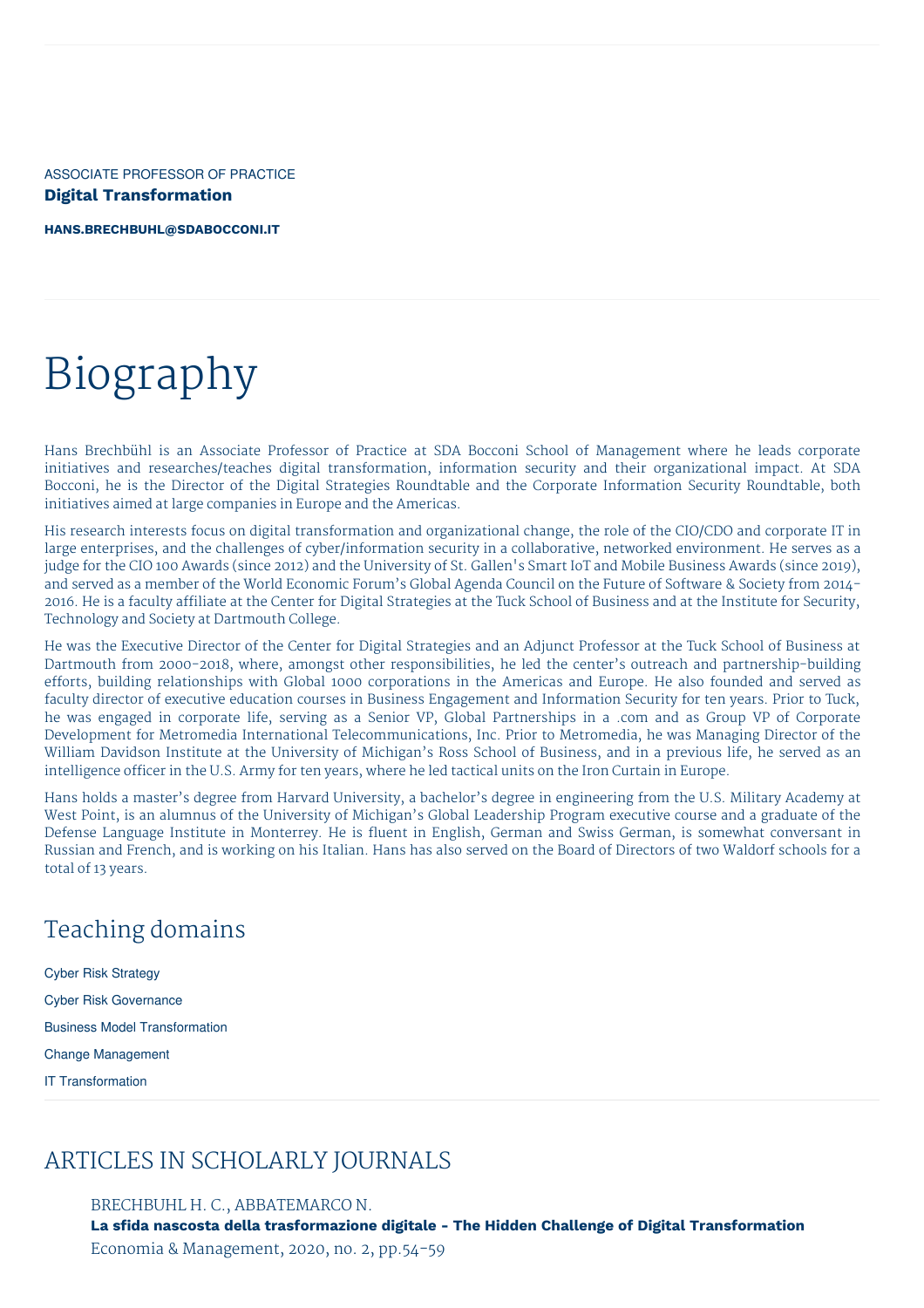ASSOCIATE PROFESSOR OF PRACTICE **Digital Transformation**

**[HANS.BRECHBUHL@SDABOCCONI.IT](mailto:hans.brechbuhl@sdabocconi.it)**

# Biography

Hans Brechbühl is an Associate Professor of Practice at SDA Bocconi School of Management where he leads corporate initiatives and researches/teaches digital transformation, information security and their organizational impact. At SDA Bocconi, he is the Director of the Digital Strategies Roundtable and the Corporate Information Security Roundtable, both initiatives aimed at large companies in Europe and the Americas.

His research interests focus on digital transformation and organizational change, the role of the CIO/CDO and corporate IT in large enterprises, and the challenges of cyber/information security in a collaborative, networked environment. He serves as a judge for the CIO 100 Awards (since 2012) and the University of St. Gallen's Smart IoT and Mobile Business Awards (since 2019), and served as a member of the World Economic Forum's Global Agenda Council on the Future of Software & Society from 2014- 2016. He is a faculty affiliate at the Center for Digital Strategies at the Tuck School of Business and at the Institute for Security, Technology and Society at Dartmouth College.

He was the Executive Director of the Center for Digital Strategies and an Adjunct Professor at the Tuck School of Business at Dartmouth from 2000-2018, where, amongst other responsibilities, he led the center's outreach and partnership-building efforts, building relationships with Global 1000 corporations in the Americas and Europe. He also founded and served as faculty director of executive education courses in Business Engagement and Information Security for ten years. Prior to Tuck, he was engaged in corporate life, serving as a Senior VP, Global Partnerships in a .com and as Group VP of Corporate Development for Metromedia International Telecommunications, Inc. Prior to Metromedia, he was Managing Director of the William Davidson Institute at the University of Michigan's Ross School of Business, and in a previous life, he served as an intelligence officer in the U.S. Army for ten years, where he led tactical units on the Iron Curtain in Europe.

Hans holds a master's degree from Harvard University, a bachelor's degree in engineering from the U.S. Military Academy at West Point, is an alumnus of the University of Michigan's Global Leadership Program executive course and a graduate of the Defense Language Institute in Monterrey. He is fluent in English, German and Swiss German, is somewhat conversant in Russian and French, and is working on his Italian. Hans has also served on the Board of Directors of two Waldorf schools for a total of 13 years.

## Teaching domains

Cyber Risk Strategy Cyber Risk Governance Business Model Transformation Change Management IT Transformation

### ARTICLES IN SCHOLARLY JOURNALS

BRECHBUHL H. C., ABBATEMARCO N.

**La sfida nascosta della trasformazione digitale - The Hidden Challenge of Digital Transformation** Economia & Management, 2020, no. 2, pp.54-59